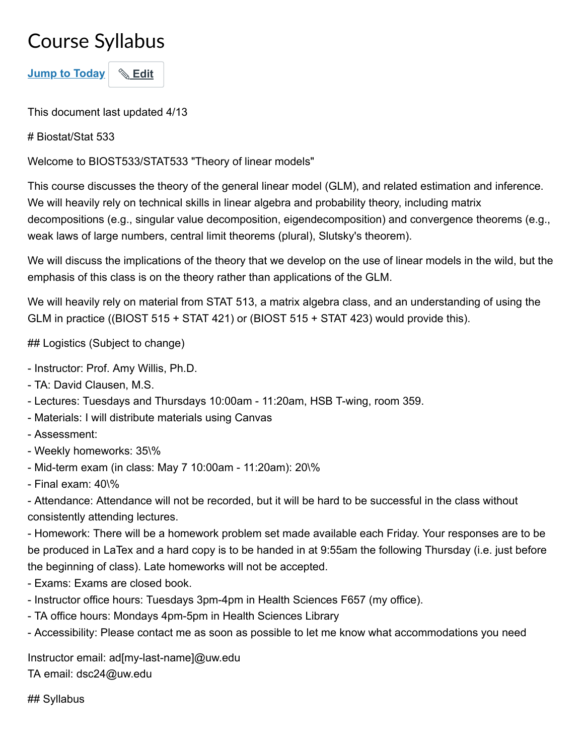# Course Syllabus

**Jump to Today** \& Edit

This document last updated 4/13

# Biostat/Stat 533

Welcome to BIOST533/STAT533 "Theory of linear models"

This course discusses the theory of the general linear model (GLM), and related estimation and inference. We will heavily rely on technical skills in linear algebra and probability theory, including matrix decompositions (e.g., singular value decomposition, eigendecomposition) and convergence theorems (e.g., weak laws of large numbers, central limit theorems (plural), Slutsky's theorem).

We will discuss the implications of the theory that we develop on the use of linear models in the wild, but the emphasis of this class is on the theory rather than applications of the GLM.

We will heavily rely on material from STAT 513, a matrix algebra class, and an understanding of using the GLM in practice ((BIOST 515 + STAT 421) or (BIOST 515 + STAT 423) would provide this).

## Logistics (Subject to change)

- Instructor: Prof. Amy Willis, Ph.D.
- TA: David Clausen, M.S.
- Lectures: Tuesdays and Thursdays 10:00am 11:20am, HSB T-wing, room 359.
- Materials: I will distribute materials using Canvas
- Assessment:
- Weekly homeworks: 35\%
- Mid-term exam (in class: May 7 10:00am 11:20am): 20\%
- Final exam: 40\%

- Attendance: Attendance will not be recorded, but it will be hard to be successful in the class without consistently attending lectures.

- Homework: There will be a homework problem set made available each Friday. Your responses are to be be produced in LaTex and a hard copy is to be handed in at 9:55am the following Thursday (i.e. just before the beginning of class). Late homeworks will not be accepted.

- Exams: Exams are closed book.
- Instructor office hours: Tuesdays 3pm-4pm in Health Sciences F657 (my office).
- TA office hours: Mondays 4pm-5pm in Health Sciences Library
- Accessibility: Please contact me as soon as possible to let me know what accommodations you need

Instructor email: ad[my-last-name]@uw.edu TA email: dsc24@uw.edu

## Syllabus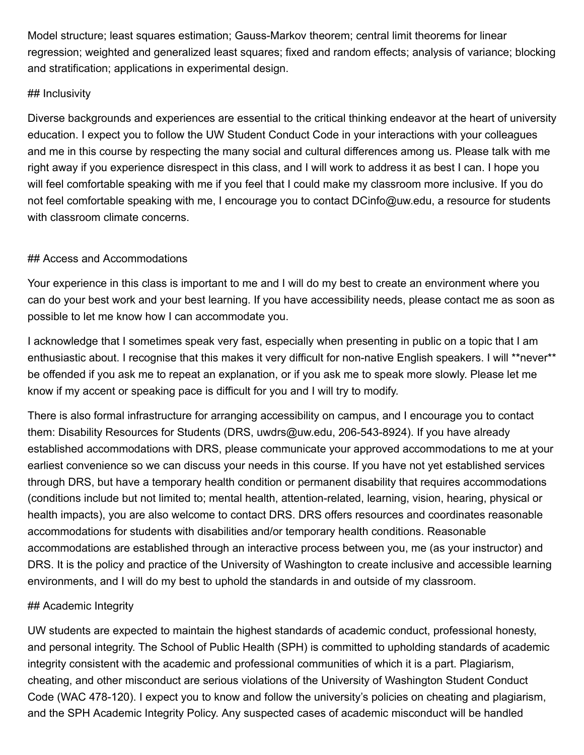Model structure; least squares estimation; Gauss-Markov theorem; central limit theorems for linear regression; weighted and generalized least squares; fixed and random effects; analysis of variance; blocking and stratification; applications in experimental design.

### ## Inclusivity

Diverse backgrounds and experiences are essential to the critical thinking endeavor at the heart of university education. I expect you to follow the UW Student Conduct Code in your interactions with your colleagues and me in this course by respecting the many social and cultural differences among us. Please talk with me right away if you experience disrespect in this class, and I will work to address it as best I can. I hope you will feel comfortable speaking with me if you feel that I could make my classroom more inclusive. If you do not feel comfortable speaking with me, I encourage you to contact DCinfo@uw.edu, a resource for students with classroom climate concerns.

### ## Access and Accommodations

Your experience in this class is important to me and I will do my best to create an environment where you can do your best work and your best learning. If you have accessibility needs, please contact me as soon as possible to let me know how I can accommodate you.

I acknowledge that I sometimes speak very fast, especially when presenting in public on a topic that I am enthusiastic about. I recognise that this makes it very difficult for non-native English speakers. I will \*\*never\*\* be offended if you ask me to repeat an explanation, or if you ask me to speak more slowly. Please let me know if my accent or speaking pace is difficult for you and I will try to modify.

There is also formal infrastructure for arranging accessibility on campus, and I encourage you to contact them: Disability Resources for Students (DRS, uwdrs@uw.edu, 206-543-8924). If you have already established accommodations with DRS, please communicate your approved accommodations to me at your earliest convenience so we can discuss your needs in this course. If you have not yet established services through DRS, but have a temporary health condition or permanent disability that requires accommodations (conditions include but not limited to; mental health, attention-related, learning, vision, hearing, physical or health impacts), you are also welcome to contact DRS. DRS offers resources and coordinates reasonable accommodations for students with disabilities and/or temporary health conditions. Reasonable accommodations are established through an interactive process between you, me (as your instructor) and DRS. It is the policy and practice of the University of Washington to create inclusive and accessible learning environments, and I will do my best to uphold the standards in and outside of my classroom.

### ## Academic Integrity

UW students are expected to maintain the highest standards of academic conduct, professional honesty, and personal integrity. The School of Public Health (SPH) is committed to upholding standards of academic integrity consistent with the academic and professional communities of which it is a part. Plagiarism, cheating, and other misconduct are serious violations of the University of Washington Student Conduct Code (WAC 478-120). I expect you to know and follow the university's policies on cheating and plagiarism, and the SPH Academic Integrity Policy. Any suspected cases of academic misconduct will be handled